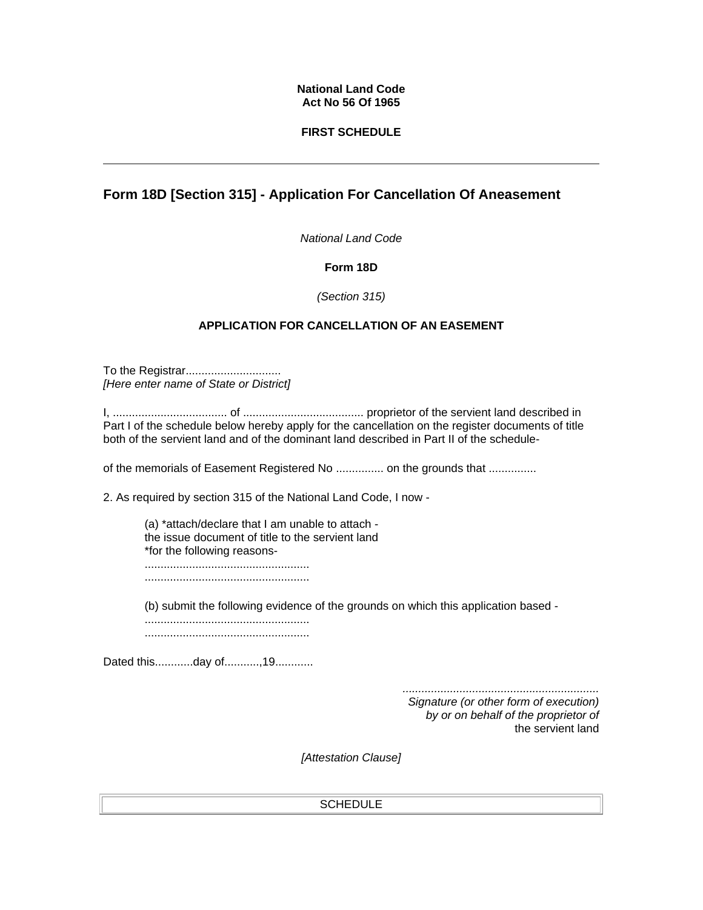#### **National Land Code Act No 56 Of 1965**

## **FIRST SCHEDULE**

# **Form 18D [Section 315] - Application For Cancellation Of Aneasement**

*National Land Code*

## **Form 18D**

*(Section 315)* 

## **APPLICATION FOR CANCELLATION OF AN EASEMENT**

To the Registrar.............................. *[Here enter name of State or District]*

I, .................................... of ...................................... proprietor of the servient land described in Part I of the schedule below hereby apply for the cancellation on the register documents of title both of the servient land and of the dominant land described in Part II of the schedule-

of the memorials of Easement Registered No ................ on the grounds that ..............

2. As required by section 315 of the National Land Code, I now -

(a) \*attach/declare that I am unable to attach the issue document of title to the servient land \*for the following reasons- ....................................................

....................................................

(b) submit the following evidence of the grounds on which this application based -

.................................................... ....................................................

Dated this.............day of............,19.............

*.............................................................. Signature (or other form of execution) by or on behalf of the proprietor of*  the servient land

*[Attestation Clause]* 

#### **SCHEDULE**